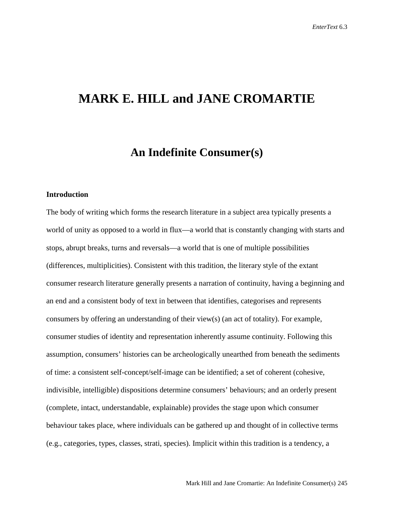### **MARK E. HILL and JANE CROMARTIE**

### **An Indefinite Consumer(s)**

#### **Introduction**

The body of writing which forms the research literature in a subject area typically presents a world of unity as opposed to a world in flux—a world that is constantly changing with starts and stops, abrupt breaks, turns and reversals—a world that is one of multiple possibilities (differences, multiplicities). Consistent with this tradition, the literary style of the extant consumer research literature generally presents a narration of continuity, having a beginning and an end and a consistent body of text in between that identifies, categorises and represents consumers by offering an understanding of their view(s) (an act of totality). For example, consumer studies of identity and representation inherently assume continuity. Following this assumption, consumers' histories can be archeologically unearthed from beneath the sediments of time: a consistent self-concept/self-image can be identified; a set of coherent (cohesive, indivisible, intelligible) dispositions determine consumers' behaviours; and an orderly present (complete, intact, understandable, explainable) provides the stage upon which consumer behaviour takes place, where individuals can be gathered up and thought of in collective terms (e.g., categories, types, classes, strati, species). Implicit within this tradition is a tendency, a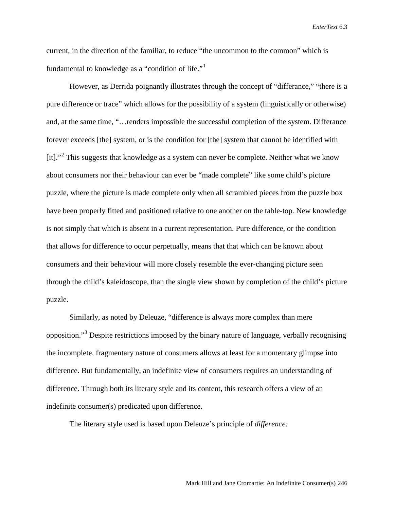current, in the direction of the familiar, to reduce "the uncommon to the common" which is fundamental to knowledge as a "condition of life."<sup>[1](#page-26-0)</sup>

However, as Derrida poignantly illustrates through the concept of "differance," "there is a pure difference or trace" which allows for the possibility of a system (linguistically or otherwise) and, at the same time, "…renders impossible the successful completion of the system. Differance forever exceeds [the] system, or is the condition for [the] system that cannot be identified with [it]."<sup>[2](#page-26-1)</sup> This suggests that knowledge as a system can never be complete. Neither what we know about consumers nor their behaviour can ever be "made complete" like some child's picture puzzle, where the picture is made complete only when all scrambled pieces from the puzzle box have been properly fitted and positioned relative to one another on the table-top. New knowledge is not simply that which is absent in a current representation. Pure difference, or the condition that allows for difference to occur perpetually, means that that which can be known about consumers and their behaviour will more closely resemble the ever-changing picture seen through the child's kaleidoscope, than the single view shown by completion of the child's picture puzzle.

Similarly, as noted by Deleuze, "difference is always more complex than mere opposition."[3](#page-26-2) Despite restrictions imposed by the binary nature of language, verbally recognising the incomplete, fragmentary nature of consumers allows at least for a momentary glimpse into difference. But fundamentally, an indefinite view of consumers requires an understanding of difference. Through both its literary style and its content, this research offers a view of an indefinite consumer(s) predicated upon difference.

The literary style used is based upon Deleuze's principle of *difference:*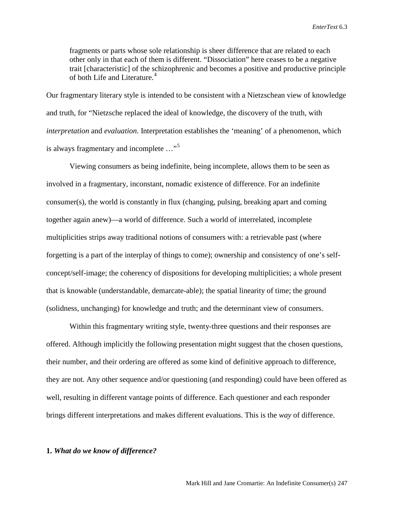fragments or parts whose sole relationship is sheer difference that are related to each other only in that each of them is different. "Dissociation" here ceases to be a negative trait [characteristic] of the schizophrenic and becomes a positive and productive principle of both Life and Literature.<sup>[4](#page-26-3)</sup>

Our fragmentary literary style is intended to be consistent with a Nietzschean view of knowledge and truth, for "Nietzsche replaced the ideal of knowledge, the discovery of the truth, with *interpretation* and *evaluation*. Interpretation establishes the 'meaning' of a phenomenon, which is always fragmentary and incomplete ..."<sup>[5](#page-26-4)</sup>

Viewing consumers as being indefinite, being incomplete, allows them to be seen as involved in a fragmentary, inconstant, nomadic existence of difference. For an indefinite consumer(s), the world is constantly in flux (changing, pulsing, breaking apart and coming together again anew)—a world of difference. Such a world of interrelated, incomplete multiplicities strips away traditional notions of consumers with: a retrievable past (where forgetting is a part of the interplay of things to come); ownership and consistency of one's selfconcept/self-image; the coherency of dispositions for developing multiplicities; a whole present that is knowable (understandable, demarcate-able); the spatial linearity of time; the ground (solidness, unchanging) for knowledge and truth; and the determinant view of consumers.

Within this fragmentary writing style, twenty-three questions and their responses are offered. Although implicitly the following presentation might suggest that the chosen questions, their number, and their ordering are offered as some kind of definitive approach to difference, they are not. Any other sequence and/or questioning (and responding) could have been offered as well, resulting in different vantage points of difference. Each questioner and each responder brings different interpretations and makes different evaluations. This is the *way* of difference.

#### **1.** *What do we know of difference?*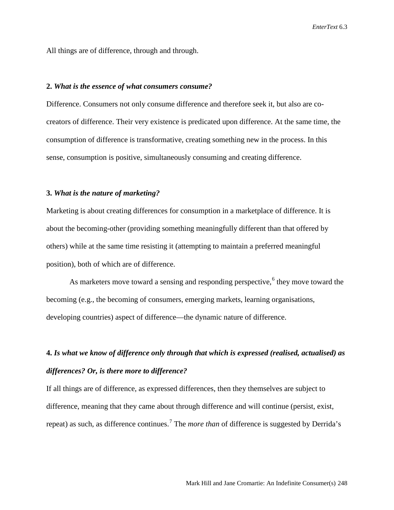All things are of difference, through and through.

#### **2.** *What is the essence of what consumers consume?*

Difference. Consumers not only consume difference and therefore seek it, but also are cocreators of difference. Their very existence is predicated upon difference. At the same time, the consumption of difference is transformative, creating something new in the process. In this sense, consumption is positive, simultaneously consuming and creating difference.

#### **3.** *What is the nature of marketing?*

Marketing is about creating differences for consumption in a marketplace of difference. It is about the becoming-other (providing something meaningfully different than that offered by others) while at the same time resisting it (attempting to maintain a preferred meaningful position), both of which are of difference.

As marketers move toward a sensing and responding perspective,  $6$  they move toward the becoming (e.g., the becoming of consumers, emerging markets, learning organisations, developing countries) aspect of difference—the dynamic nature of difference.

### **4.** *Is what we know of difference only through that which is expressed (realised, actualised) as differences? Or, is there more to difference?*

If all things are of difference, as expressed differences, then they themselves are subject to difference, meaning that they came about through difference and will continue (persist, exist, repeat) as such, as difference continues.[7](#page-26-6) The *more than* of difference is suggested by Derrida's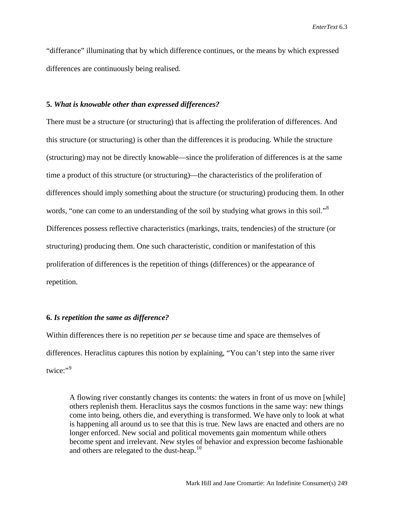"differance" illuminating that by which difference continues, or the means by which expressed differences are continuously being realised.

#### **5.** *What is knowable other than expressed differences?*

There must be a structure (or structuring) that is affecting the proliferation of differences. And this structure (or structuring) is other than the differences it is producing. While the structure (structuring) may not be directly knowable—since the proliferation of differences is at the same time a product of this structure (or structuring)—the characteristics of the proliferation of differences should imply something about the structure (or structuring) producing them. In other words, "one can come to an understanding of the soil by studying what grows in this soil."<sup>[8](#page-26-7)</sup> Differences possess reflective characteristics (markings, traits, tendencies) of the structure (or structuring) producing them. One such characteristic, condition or manifestation of this proliferation of differences is the repetition of things (differences) or the appearance of repetition.

#### **6.** *Is repetition the same as difference?*

Within differences there is no repetition *per se* because time and space are themselves of differences. Heraclitus captures this notion by explaining, "You can't step into the same river twice:"[9](#page-26-8)

A flowing river constantly changes its contents: the waters in front of us move on [while] others replenish them. Heraclitus says the cosmos functions in the same way: new things come into being, others die, and everything is transformed. We have only to look at what is happening all around us to see that this is true. New laws are enacted and others are no longer enforced. New social and political movements gain momentum while others become spent and irrelevant. New styles of behavior and expression become fashionable and others are relegated to the dust-heap.<sup>10</sup>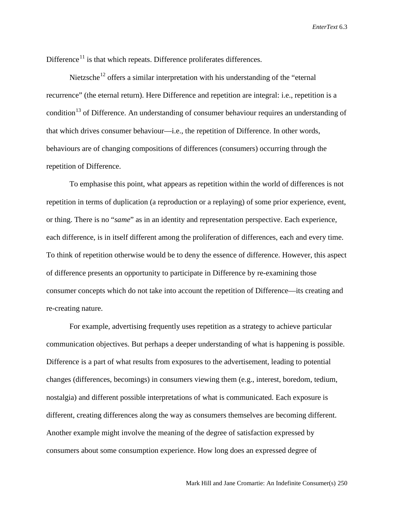Difference<sup>[11](#page-26-10)</sup> is that which repeats. Difference proliferates differences.

Nietzsche<sup>[12](#page-26-11)</sup> offers a similar interpretation with his understanding of the "eternal" recurrence" (the eternal return). Here Difference and repetition are integral: i.e., repetition is a condition<sup>[13](#page-26-12)</sup> of Difference. An understanding of consumer behaviour requires an understanding of that which drives consumer behaviour—i.e., the repetition of Difference. In other words, behaviours are of changing compositions of differences (consumers) occurring through the repetition of Difference.

To emphasise this point, what appears as repetition within the world of differences is not repetition in terms of duplication (a reproduction or a replaying) of some prior experience, event, or thing. There is no "*same*" as in an identity and representation perspective. Each experience, each difference, is in itself different among the proliferation of differences, each and every time. To think of repetition otherwise would be to deny the essence of difference. However, this aspect of difference presents an opportunity to participate in Difference by re-examining those consumer concepts which do not take into account the repetition of Difference—its creating and re-creating nature.

For example, advertising frequently uses repetition as a strategy to achieve particular communication objectives. But perhaps a deeper understanding of what is happening is possible. Difference is a part of what results from exposures to the advertisement, leading to potential changes (differences, becomings) in consumers viewing them (e.g., interest, boredom, tedium, nostalgia) and different possible interpretations of what is communicated. Each exposure is different, creating differences along the way as consumers themselves are becoming different. Another example might involve the meaning of the degree of satisfaction expressed by consumers about some consumption experience. How long does an expressed degree of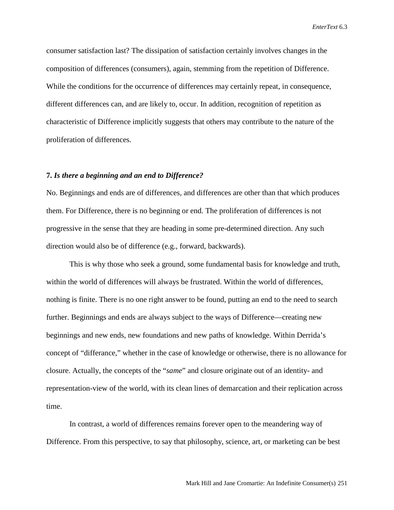consumer satisfaction last? The dissipation of satisfaction certainly involves changes in the composition of differences (consumers), again, stemming from the repetition of Difference. While the conditions for the occurrence of differences may certainly repeat, in consequence, different differences can, and are likely to, occur. In addition, recognition of repetition as characteristic of Difference implicitly suggests that others may contribute to the nature of the proliferation of differences.

#### **7.** *Is there a beginning and an end to Difference?*

No. Beginnings and ends are of differences, and differences are other than that which produces them. For Difference, there is no beginning or end. The proliferation of differences is not progressive in the sense that they are heading in some pre-determined direction. Any such direction would also be of difference (e.g., forward, backwards).

This is why those who seek a ground, some fundamental basis for knowledge and truth, within the world of differences will always be frustrated. Within the world of differences, nothing is finite. There is no one right answer to be found, putting an end to the need to search further. Beginnings and ends are always subject to the ways of Difference—creating new beginnings and new ends, new foundations and new paths of knowledge. Within Derrida's concept of "differance," whether in the case of knowledge or otherwise, there is no allowance for closure. Actually, the concepts of the "*same*" and closure originate out of an identity- and representation-view of the world, with its clean lines of demarcation and their replication across time.

In contrast, a world of differences remains forever open to the meandering way of Difference. From this perspective, to say that philosophy, science, art, or marketing can be best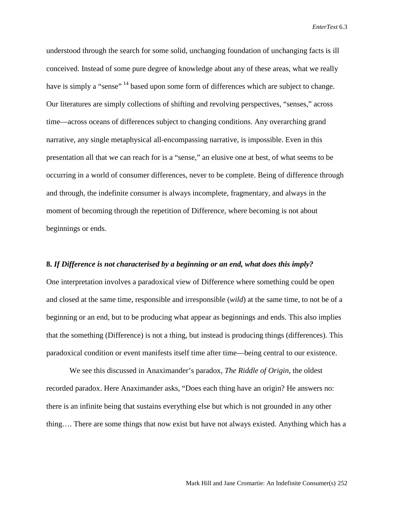understood through the search for some solid, unchanging foundation of unchanging facts is ill conceived. Instead of some pure degree of knowledge about any of these areas, what we really have is simply a "sense" <sup>[14](#page-26-13)</sup> based upon some form of differences which are subject to change. Our literatures are simply collections of shifting and revolving perspectives, "senses," across time—across oceans of differences subject to changing conditions. Any overarching grand narrative, any single metaphysical all-encompassing narrative, is impossible. Even in this presentation all that we can reach for is a "sense," an elusive one at best, of what seems to be occurring in a world of consumer differences, never to be complete. Being of difference through and through, the indefinite consumer is always incomplete, fragmentary, and always in the moment of becoming through the repetition of Difference, where becoming is not about beginnings or ends.

#### **8.** *If Difference is not characterised by a beginning or an end, what does this imply?*

One interpretation involves a paradoxical view of Difference where something could be open and closed at the same time, responsible and irresponsible (*wild*) at the same time, to not be of a beginning or an end, but to be producing what appear as beginnings and ends. This also implies that the something (Difference) is not a thing, but instead is producing things (differences). This paradoxical condition or event manifests itself time after time—being central to our existence.

We see this discussed in Anaximander's paradox, *The Riddle of Origin*, the oldest recorded paradox. Here Anaximander asks, "Does each thing have an origin? He answers no: there is an infinite being that sustains everything else but which is not grounded in any other thing…. There are some things that now exist but have not always existed. Anything which has a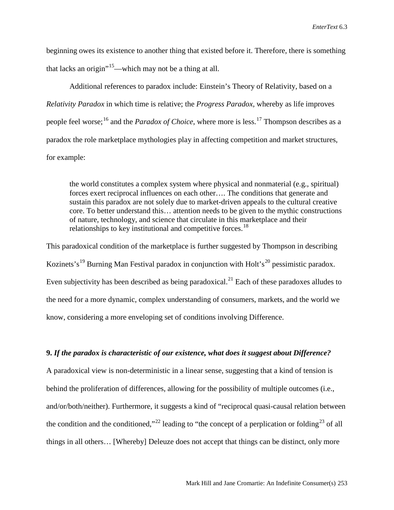beginning owes its existence to another thing that existed before it. Therefore, there is something that lacks an origin<sup> $15$ </sup>—which may not be a thing at all.

Additional references to paradox include: Einstein's Theory of Relativity, based on a *Relativity Paradox* in which time is relative; the *Progress Paradox,* whereby as life improves people feel worse;<sup>[16](#page-26-15)</sup> and the *Paradox of Choice*, where more is less.<sup>[17](#page-26-16)</sup> Thompson describes as a paradox the role marketplace mythologies play in affecting competition and market structures, for example:

the world constitutes a complex system where physical and nonmaterial (e.g., spiritual) forces exert reciprocal influences on each other…. The conditions that generate and sustain this paradox are not solely due to market-driven appeals to the cultural creative core. To better understand this… attention needs to be given to the mythic constructions of nature, technology, and science that circulate in this marketplace and their relationships to key institutional and competitive forces.<sup>[18](#page-26-17)</sup>

This paradoxical condition of the marketplace is further suggested by Thompson in describing Kozinets's<sup>[19](#page-26-18)</sup> Burning Man Festival paradox in conjunction with Holt's<sup>[20](#page-26-19)</sup> pessimistic paradox. Even subjectivity has been described as being paradoxical.<sup>[21](#page-26-20)</sup> Each of these paradoxes alludes to the need for a more dynamic, complex understanding of consumers, markets, and the world we know, considering a more enveloping set of conditions involving Difference.

#### **9.** *If the paradox is characteristic of our existence, what does it suggest about Difference?*

A paradoxical view is non-deterministic in a linear sense, suggesting that a kind of tension is behind the proliferation of differences, allowing for the possibility of multiple outcomes (i.e., and/or/both/neither). Furthermore, it suggests a kind of "reciprocal quasi-causal relation between the condition and the conditioned,"<sup>[22](#page-26-21)</sup> leading to "the concept of a perplication or folding<sup>[23](#page-26-22)</sup> of all things in all others… [Whereby] Deleuze does not accept that things can be distinct, only more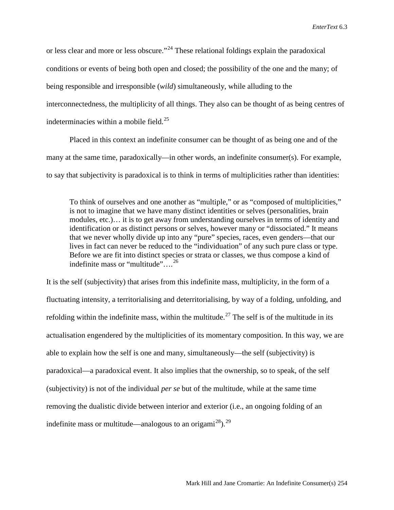or less clear and more or less obscure."<sup>[24](#page-26-23)</sup> These relational foldings explain the paradoxical conditions or events of being both open and closed; the possibility of the one and the many; of being responsible and irresponsible (*wild*) simultaneously, while alluding to the interconnectedness, the multiplicity of all things. They also can be thought of as being centres of indeterminacies within a mobile field. $^{25}$ 

Placed in this context an indefinite consumer can be thought of as being one and of the many at the same time, paradoxically—in other words, an indefinite consumer(s). For example, to say that subjectivity is paradoxical is to think in terms of multiplicities rather than identities:

To think of ourselves and one another as "multiple," or as "composed of multiplicities," is not to imagine that we have many distinct identities or selves (personalities, brain modules, etc.)… it is to get away from understanding ourselves in terms of identity and identification or as distinct persons or selves, however many or "dissociated." It means that we never wholly divide up into any "pure" species, races, even genders—that our lives in fact can never be reduced to the "individuation" of any such pure class or type. Before we are fit into distinct species or strata or classes, we thus compose a kind of indefinite mass or "multitude"....<sup>[26](#page-26-25)</sup>

It is the self (subjectivity) that arises from this indefinite mass, multiplicity, in the form of a fluctuating intensity, a territorialising and deterritorialising, by way of a folding, unfolding, and refolding within the indefinite mass, within the multitude.<sup>[27](#page-26-26)</sup> The self is of the multitude in its actualisation engendered by the multiplicities of its momentary composition. In this way, we are able to explain how the self is one and many, simultaneously—the self (subjectivity) is paradoxical—a paradoxical event. It also implies that the ownership, so to speak, of the self (subjectivity) is not of the individual *per se* but of the multitude, while at the same time removing the dualistic divide between interior and exterior (i.e., an ongoing folding of an indefinite mass or multitude—analogous to an origami<sup>[28](#page-26-27)</sup>).<sup>29</sup>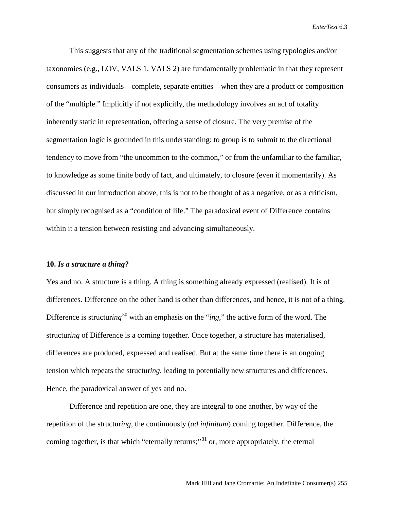This suggests that any of the traditional segmentation schemes using typologies and/or taxonomies (e.g., LOV, VALS 1, VALS 2) are fundamentally problematic in that they represent consumers as individuals—complete, separate entities—when they are a product or composition of the "multiple." Implicitly if not explicitly, the methodology involves an act of totality inherently static in representation, offering a sense of closure. The very premise of the segmentation logic is grounded in this understanding: to group is to submit to the directional tendency to move from "the uncommon to the common," or from the unfamiliar to the familiar, to knowledge as some finite body of fact, and ultimately, to closure (even if momentarily). As discussed in our introduction above, this is not to be thought of as a negative, or as a criticism, but simply recognised as a "condition of life." The paradoxical event of Difference contains within it a tension between resisting and advancing simultaneously.

#### **10.** *Is a structure a thing?*

Yes and no. A structure is a thing. A thing is something already expressed (realised). It is of differences. Difference on the other hand is other than differences, and hence, it is not of a thing. Difference is structuring<sup>[30](#page-26-29)</sup> with an emphasis on the "*ing*," the active form of the word. The structur*ing* of Difference is a coming together. Once together, a structure has materialised, differences are produced, expressed and realised. But at the same time there is an ongoing tension which repeats the structur*ing*, leading to potentially new structures and differences. Hence, the paradoxical answer of yes and no.

Difference and repetition are one, they are integral to one another, by way of the repetition of the structur*ing*, the continuously (*ad infinitum*) coming together. Difference, the coming together, is that which "eternally returns;"<sup>[31](#page-26-30)</sup> or, more appropriately, the eternal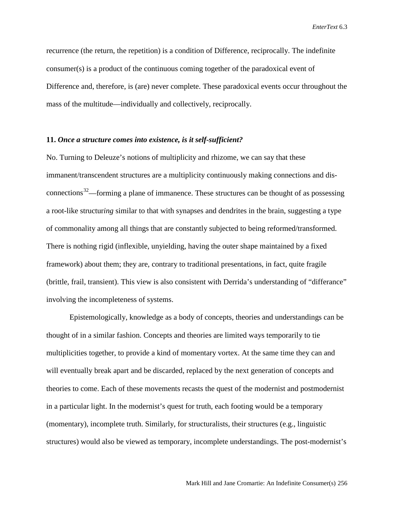recurrence (the return, the repetition) is a condition of Difference, reciprocally. The indefinite consumer(s) is a product of the continuous coming together of the paradoxical event of Difference and, therefore, is (are) never complete. These paradoxical events occur throughout the mass of the multitude—individually and collectively, reciprocally.

#### **11.** *Once a structure comes into existence, is it self-sufficient?*

No. Turning to Deleuze's notions of multiplicity and rhizome, we can say that these immanent/transcendent structures are a multiplicity continuously making connections and dis-connections<sup>[32](#page-26-31)</sup>—forming a plane of immanence. These structures can be thought of as possessing a root-like structur*ing* similar to that with synapses and dendrites in the brain, suggesting a type of commonality among all things that are constantly subjected to being reformed/transformed. There is nothing rigid (inflexible, unyielding, having the outer shape maintained by a fixed framework) about them; they are, contrary to traditional presentations, in fact, quite fragile (brittle, frail, transient). This view is also consistent with Derrida's understanding of "differance" involving the incompleteness of systems.

Epistemologically, knowledge as a body of concepts, theories and understandings can be thought of in a similar fashion. Concepts and theories are limited ways temporarily to tie multiplicities together, to provide a kind of momentary vortex. At the same time they can and will eventually break apart and be discarded, replaced by the next generation of concepts and theories to come. Each of these movements recasts the quest of the modernist and postmodernist in a particular light. In the modernist's quest for truth, each footing would be a temporary (momentary), incomplete truth. Similarly, for structuralists, their structures (e.g., linguistic structures) would also be viewed as temporary, incomplete understandings. The post-modernist's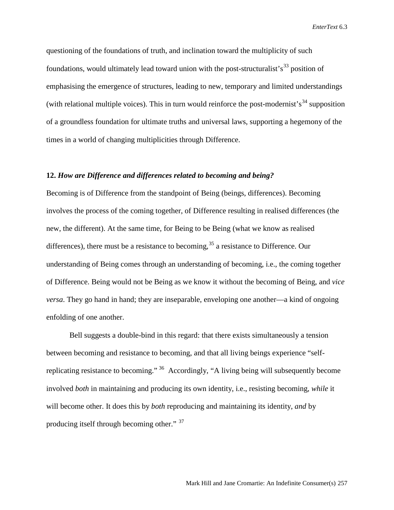questioning of the foundations of truth, and inclination toward the multiplicity of such foundations, would ultimately lead toward union with the post-structuralist's<sup>[33](#page-26-32)</sup> position of emphasising the emergence of structures, leading to new, temporary and limited understandings (with relational multiple voices). This in turn would reinforce the post-modernist's<sup>[34](#page-26-33)</sup> supposition of a groundless foundation for ultimate truths and universal laws, supporting a hegemony of the times in a world of changing multiplicities through Difference.

#### **12.** *How are Difference and differences related to becoming and being?*

Becoming is of Difference from the standpoint of Being (beings, differences). Becoming involves the process of the coming together, of Difference resulting in realised differences (the new, the different). At the same time, for Being to be Being (what we know as realised differences), there must be a resistance to becoming,  $35$  a resistance to Difference. Our understanding of Being comes through an understanding of becoming, i.e., the coming together of Difference. Being would not be Being as we know it without the becoming of Being, and *vice versa*. They go hand in hand; they are inseparable, enveloping one another—a kind of ongoing enfolding of one another.

Bell suggests a double-bind in this regard: that there exists simultaneously a tension between becoming and resistance to becoming, and that all living beings experience "selfreplicating resistance to becoming." [36](#page-26-35) Accordingly, "A living being will subsequently become involved *both* in maintaining and producing its own identity, i.e., resisting becoming, *while* it will become other. It does this by *both* reproducing and maintaining its identity, *and* by producing itself through becoming other." [37](#page-26-36)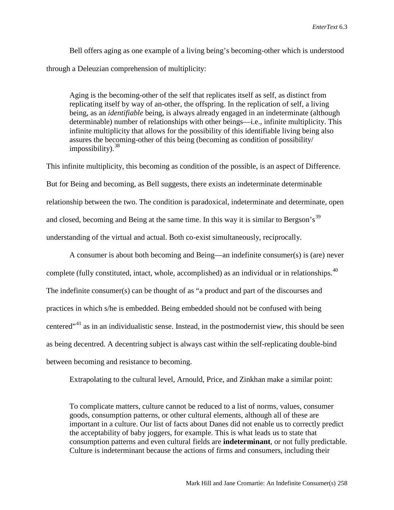Bell offers aging as one example of a living being's becoming-other which is understood through a Deleuzian comprehension of multiplicity:

Aging is the becoming-other of the self that replicates itself as self, as distinct from replicating itself by way of an-other, the offspring. In the replication of self, a living being, as an *identifiable* being, is always already engaged in an indeterminate (although determinable) number of relationships with other beings—i.e., infinite multiplicity. This infinite multiplicity that allows for the possibility of this identifiable living being also assures the becoming-other of this being (becoming as condition of possibility/ impossibility).  $38$ 

This infinite multiplicity, this becoming as condition of the possible, is an aspect of Difference. But for Being and becoming, as Bell suggests, there exists an indeterminate determinable relationship between the two. The condition is paradoxical, indeterminate and determinate, open and closed, becoming and Being at the same time. In this way it is similar to Bergson's<sup>[39](#page-26-38)</sup> understanding of the virtual and actual. Both co-exist simultaneously, reciprocally.

A consumer is about both becoming and Being—an indefinite consumer(s) is (are) never complete (fully constituted, intact, whole, accomplished) as an individual or in relationships.<sup>[40](#page-26-39)</sup> The indefinite consumer(s) can be thought of as "a product and part of the discourses and practices in which s/he is embedded. Being embedded should not be confused with being centered"[41](#page-26-40) as in an individualistic sense. Instead, in the postmodernist view, this should be seen as being decentred. A decentring subject is always cast within the self-replicating double-bind between becoming and resistance to becoming.

Extrapolating to the cultural level, Arnould, Price, and Zinkhan make a similar point:

To complicate matters, culture cannot be reduced to a list of norms, values, consumer goods, consumption patterns, or other cultural elements, although all of these are important in a culture. Our list of facts about Danes did not enable us to correctly predict the acceptability of baby joggers, for example. This is what leads us to state that consumption patterns and even cultural fields are **indeterminant**, or not fully predictable. Culture is indeterminant because the actions of firms and consumers, including their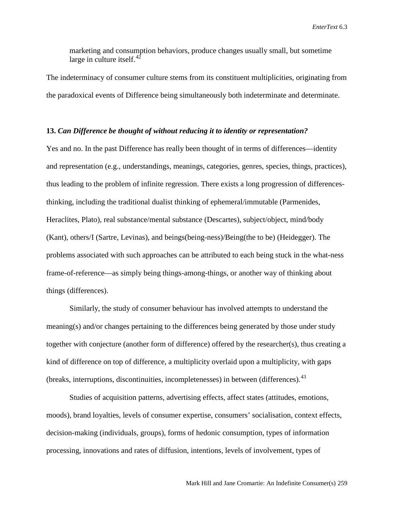marketing and consumption behaviors, produce changes usually small, but sometime large in culture itself. $^{42}$  $^{42}$  $^{42}$ 

The indeterminacy of consumer culture stems from its constituent multiplicities, originating from the paradoxical events of Difference being simultaneously both indeterminate and determinate.

#### **13.** *Can Difference be thought of without reducing it to identity or representation?*

Yes and no. In the past Difference has really been thought of in terms of differences—identity and representation (e.g., understandings, meanings, categories, genres, species, things, practices), thus leading to the problem of infinite regression. There exists a long progression of differencesthinking, including the traditional dualist thinking of ephemeral/immutable (Parmenides, Heraclites, Plato), real substance/mental substance (Descartes), subject/object, mind/body (Kant), others/I (Sartre, Levinas), and beings(being-ness)/Being(the to be) (Heidegger). The problems associated with such approaches can be attributed to each being stuck in the what-ness frame-of-reference—as simply being things-among-things, or another way of thinking about things (differences).

Similarly, the study of consumer behaviour has involved attempts to understand the meaning(s) and/or changes pertaining to the differences being generated by those under study together with conjecture (another form of difference) offered by the researcher(s), thus creating a kind of difference on top of difference, a multiplicity overlaid upon a multiplicity, with gaps (breaks, interruptions, discontinuities, incompletenesses) in between (differences).[43](#page-26-42) 

Studies of acquisition patterns, advertising effects, affect states (attitudes, emotions, moods), brand loyalties, levels of consumer expertise, consumers' socialisation, context effects, decision-making (individuals, groups), forms of hedonic consumption, types of information processing, innovations and rates of diffusion, intentions, levels of involvement, types of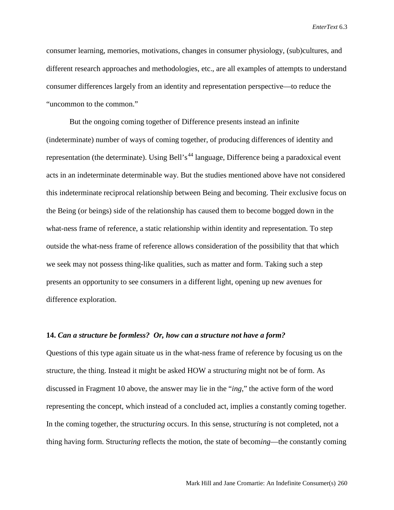consumer learning, memories, motivations, changes in consumer physiology, (sub)cultures, and different research approaches and methodologies, etc., are all examples of attempts to understand consumer differences largely from an identity and representation perspective—to reduce the "uncommon to the common."

But the ongoing coming together of Difference presents instead an infinite (indeterminate) number of ways of coming together, of producing differences of identity and representation (the determinate). Using Bell's<sup>[44](#page-26-43)</sup> language, Difference being a paradoxical event acts in an indeterminate determinable way. But the studies mentioned above have not considered this indeterminate reciprocal relationship between Being and becoming. Their exclusive focus on the Being (or beings) side of the relationship has caused them to become bogged down in the what-ness frame of reference, a static relationship within identity and representation. To step outside the what-ness frame of reference allows consideration of the possibility that that which we seek may not possess thing-like qualities, such as matter and form. Taking such a step presents an opportunity to see consumers in a different light, opening up new avenues for difference exploration.

#### **14.** *Can a structure be formless? Or, how can a structure not have a form?*

Questions of this type again situate us in the what-ness frame of reference by focusing us on the structure, the thing. Instead it might be asked HOW a structur*ing* might not be of form. As discussed in Fragment 10 above, the answer may lie in the "*ing*," the active form of the word representing the concept, which instead of a concluded act, implies a constantly coming together. In the coming together, the structur*ing* occurs. In this sense, structur*ing* is not completed, not a thing having form. Structur*ing* reflects the motion, the state of becom*ing*—the constantly coming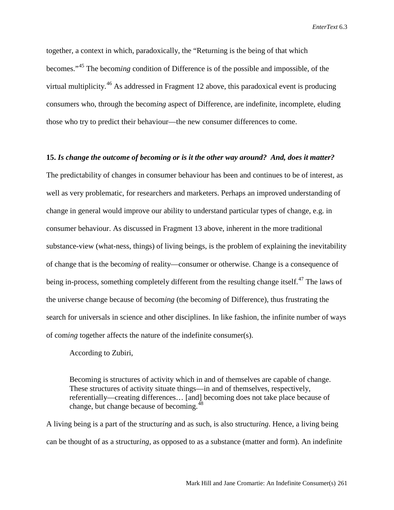together, a context in which, paradoxically, the "Returning is the being of that which becomes."[45](#page-26-44) The becom*ing* condition of Difference is of the possible and impossible, of the virtual multiplicity.<sup>[46](#page-26-45)</sup> As addressed in Fragment 12 above, this paradoxical event is producing consumers who, through the becom*ing* aspect of Difference, are indefinite, incomplete, eluding those who try to predict their behaviour—the new consumer differences to come.

#### **15.** *Is change the outcome of becoming or is it the other way around? And, does it matter?*

The predictability of changes in consumer behaviour has been and continues to be of interest, as well as very problematic, for researchers and marketers. Perhaps an improved understanding of change in general would improve our ability to understand particular types of change, e.g. in consumer behaviour. As discussed in Fragment 13 above, inherent in the more traditional substance-view (what-ness, things) of living beings, is the problem of explaining the inevitability of change that is the becom*ing* of reality—consumer or otherwise. Change is a consequence of being in-process, something completely different from the resulting change itself.<sup>[47](#page-26-46)</sup> The laws of the universe change because of becom*ing* (the becom*ing* of Difference), thus frustrating the search for universals in science and other disciplines. In like fashion, the infinite number of ways of com*ing* together affects the nature of the indefinite consumer(s).

According to Zubiri,

Becoming is structures of activity which in and of themselves are capable of change. These structures of activity situate things—in and of themselves, respectively, referentially—creating differences… [and] becoming does not take place because of change, but change because of becoming.<sup>[48](#page-26-47)</sup>

A living being is a part of the structur*ing* and as such, is also structur*ing*. Hence, a living being can be thought of as a structur*ing,* as opposed to as a substance (matter and form). An indefinite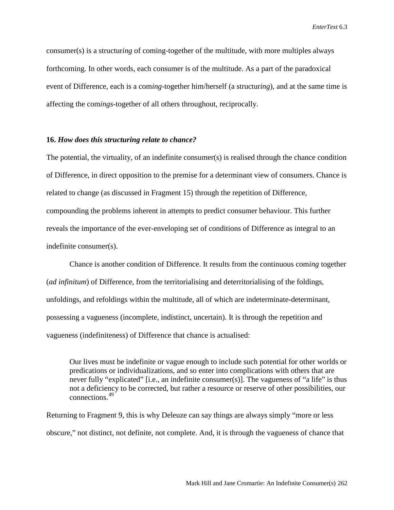consumer(s) is a structur*ing* of coming-together of the multitude, with more multiples always forthcoming. In other words, each consumer is of the multitude. As a part of the paradoxical event of Difference, each is a com*ing*-together him/herself (a structur*ing*), and at the same time is affecting the com*ings*-together of all others throughout, reciprocally.

#### **16.** *How does this structuring relate to chance?*

The potential, the virtuality, of an indefinite consumer(s) is realised through the chance condition of Difference, in direct opposition to the premise for a determinant view of consumers. Chance is related to change (as discussed in Fragment 15) through the repetition of Difference, compounding the problems inherent in attempts to predict consumer behaviour. This further reveals the importance of the ever-enveloping set of conditions of Difference as integral to an indefinite consumer(s).

Chance is another condition of Difference. It results from the continuous com*ing* together (*ad infinitum*) of Difference, from the territorialising and deterritorialising of the foldings, unfoldings, and refoldings within the multitude, all of which are indeterminate-determinant, possessing a vagueness (incomplete, indistinct, uncertain). It is through the repetition and vagueness (indefiniteness) of Difference that chance is actualised:

Our lives must be indefinite or vague enough to include such potential for other worlds or predications or individualizations, and so enter into complications with others that are never fully "explicated" [i.e., an indefinite consumer(s)]. The vagueness of "a life" is thus not a deficiency to be corrected, but rather a resource or reserve of other possibilities, our connections.[49](#page-26-48)

Returning to Fragment 9, this is why Deleuze can say things are always simply "more or less obscure," not distinct, not definite, not complete. And, it is through the vagueness of chance that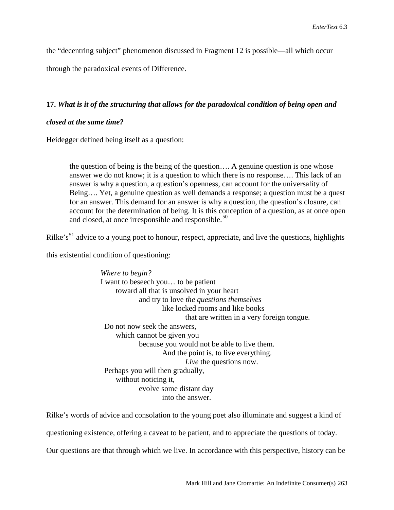the "decentring subject" phenomenon discussed in Fragment 12 is possible—all which occur

through the paradoxical events of Difference.

#### **17.** *What is it of the structuring that allows for the paradoxical condition of being open and*

#### *closed at the same time?*

Heidegger defined being itself as a question:

the question of being is the being of the question…. A genuine question is one whose answer we do not know; it is a question to which there is no response…. This lack of an answer is why a question, a question's openness, can account for the universality of Being…. Yet, a genuine question as well demands a response; a question must be a quest for an answer. This demand for an answer is why a question, the question's closure, can account for the determination of being. It is this conception of a question, as at once open and closed, at once irresponsible and responsible.<sup>[50](#page-26-49)</sup>

Rilke's<sup>[51](#page-26-50)</sup> advice to a young poet to honour, respect, appreciate, and live the questions, highlights

this existential condition of questioning:

*Where to begin?* I want to beseech you… to be patient toward all that is unsolved in your heart and try to love *the questions themselves* like locked rooms and like books that are written in a very foreign tongue. Do not now seek the answers, which cannot be given you because you would not be able to live them. And the point is, to live everything. *Live* the questions now. Perhaps you will then gradually, without noticing it, evolve some distant day into the answer.

Rilke's words of advice and consolation to the young poet also illuminate and suggest a kind of questioning existence, offering a caveat to be patient, and to appreciate the questions of today. Our questions are that through which we live. In accordance with this perspective, history can be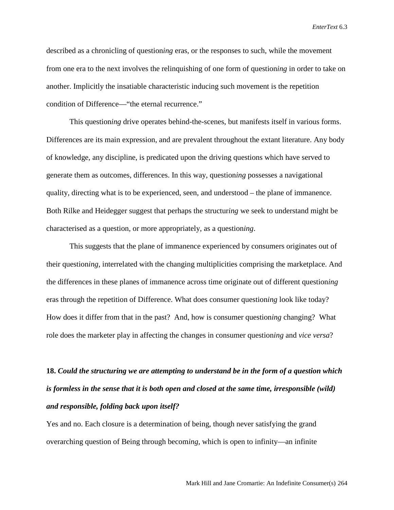described as a chronicling of question*ing* eras, or the responses to such, while the movement from one era to the next involves the relinquishing of one form of question*ing* in order to take on another. Implicitly the insatiable characteristic inducing such movement is the repetition condition of Difference—"the eternal recurrence."

This question*ing* drive operates behind-the-scenes, but manifests itself in various forms. Differences are its main expression, and are prevalent throughout the extant literature. Any body of knowledge, any discipline, is predicated upon the driving questions which have served to generate them as outcomes, differences. In this way, question*ing* possesses a navigational quality, directing what is to be experienced, seen, and understood – the plane of immanence. Both Rilke and Heidegger suggest that perhaps the structur*ing* we seek to understand might be characterised as a question, or more appropriately, as a question*ing*.

This suggests that the plane of immanence experienced by consumers originates out of their question*ing*, interrelated with the changing multiplicities comprising the marketplace. And the differences in these planes of immanence across time originate out of different question*ing* eras through the repetition of Difference. What does consumer question*ing* look like today? How does it differ from that in the past? And, how is consumer question*ing* changing? What role does the marketer play in affecting the changes in consumer question*ing* and *vice versa*?

# **18.** *Could the structuring we are attempting to understand be in the form of a question which is formless in the sense that it is both open and closed at the same time, irresponsible (wild) and responsible, folding back upon itself?*

Yes and no. Each closure is a determination of being, though never satisfying the grand overarching question of Being through becom*ing,* which is open to infinity—an infinite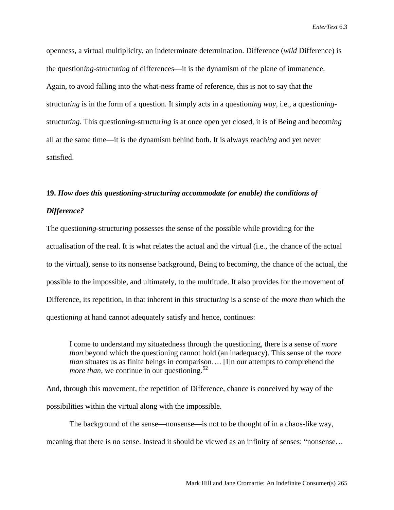openness, a virtual multiplicity, an indeterminate determination. Difference (*wild* Difference) is the question*ing*-structur*ing* of differences—it is the dynamism of the plane of immanence. Again, to avoid falling into the what-ness frame of reference, this is not to say that the structur*ing* is in the form of a question. It simply acts in a question*ing way*, i.e., a question*ing*structur*ing*. This question*ing*-structur*ing* is at once open yet closed, it is of Being and becom*ing* all at the same time—it is the dynamism behind both. It is always reach*ing* and yet never satisfied.

## **19.** *How does this questioning-structuring accommodate (or enable) the conditions of Difference?*

The question*ing*-structur*ing* possesses the sense of the possible while providing for the actualisation of the real. It is what relates the actual and the virtual (i.e., the chance of the actual to the virtual), sense to its nonsense background, Being to becom*ing*, the chance of the actual, the possible to the impossible, and ultimately, to the multitude. It also provides for the movement of Difference, its repetition, in that inherent in this structur*ing* is a sense of the *more than* which the question*ing* at hand cannot adequately satisfy and hence, continues:

I come to understand my situatedness through the questioning, there is a sense of *more than* beyond which the questioning cannot hold (an inadequacy). This sense of the *more than* situates us as finite beings in comparison…. [I]n our attempts to comprehend the *more than*, we continue in our questioning.<sup>[52](#page-26-51)</sup>

And, through this movement, the repetition of Difference, chance is conceived by way of the possibilities within the virtual along with the impossible.

The background of the sense—nonsense—is not to be thought of in a chaos-like way, meaning that there is no sense. Instead it should be viewed as an infinity of senses: "nonsense…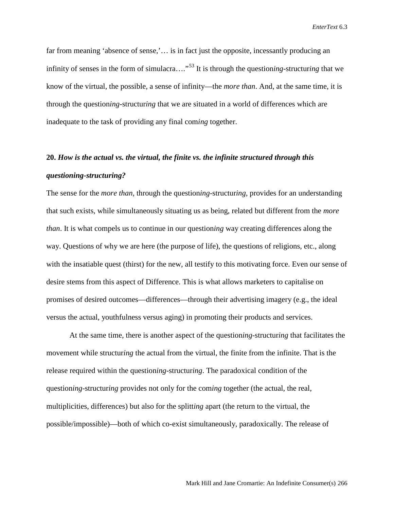far from meaning 'absence of sense,'... is in fact just the opposite, incessantly producing an infinity of senses in the form of simulacra…."[53](#page-26-52) It is through the question*ing*-structur*ing* that we know of the virtual, the possible, a sense of infinity—the *more than*. And, at the same time, it is through the question*ing*-structur*ing* that we are situated in a world of differences which are inadequate to the task of providing any final com*ing* together.

## **20.** *How is the actual vs. the virtual, the finite vs. the infinite structured through this questioning-structuring?*

The sense for the *more than*, through the question*ing*-structur*ing*, provides for an understanding that such exists, while simultaneously situating us as being, related but different from the *more than*. It is what compels us to continue in our question*ing* way creating differences along the way. Questions of why we are here (the purpose of life), the questions of religions, etc., along with the insatiable quest (thirst) for the new, all testify to this motivating force. Even our sense of desire stems from this aspect of Difference. This is what allows marketers to capitalise on promises of desired outcomes—differences—through their advertising imagery (e.g., the ideal versus the actual, youthfulness versus aging) in promoting their products and services.

At the same time, there is another aspect of the question*ing*-structur*ing* that facilitates the movement while structur*ing* the actual from the virtual, the finite from the infinite. That is the release required within the question*ing*-structur*ing*. The paradoxical condition of the question*ing*-structur*ing* provides not only for the com*ing* together (the actual, the real, multiplicities, differences) but also for the splitt*ing* apart (the return to the virtual, the possible/impossible)—both of which co-exist simultaneously, paradoxically. The release of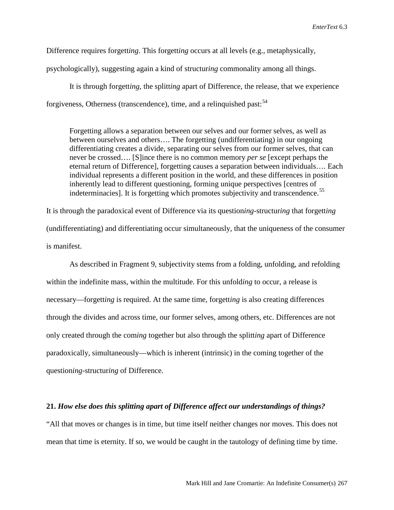Difference requires forgett*ing*. This forgett*ing* occurs at all levels (e.g., metaphysically,

psychologically), suggesting again a kind of structur*ing* commonality among all things.

It is through forgett*ing*, the splitt*ing* apart of Difference, the release, that we experience forgiveness, Otherness (transcendence), time, and a relinquished past:<sup>54</sup>

Forgetting allows a separation between our selves and our former selves, as well as between ourselves and others…. The forgetting (undifferentiating) in our ongoing differentiating creates a divide, separating our selves from our former selves, that can never be crossed…. [S]ince there is no common memory *per se* [except perhaps the eternal return of Difference], forgetting causes a separation between individuals…. Each individual represents a different position in the world, and these differences in position inherently lead to different questioning, forming unique perspectives [centres of indeterminacies]. It is forgetting which promotes subjectivity and transcendence.<sup>[55](#page-26-54)</sup>

It is through the paradoxical event of Difference via its question*ing*-structur*ing* that forgett*ing* (undifferentiating) and differentiating occur simultaneously, that the uniqueness of the consumer is manifest.

As described in Fragment 9, subjectivity stems from a folding, unfolding, and refolding within the indefinite mass, within the multitude. For this unfold*ing* to occur, a release is necessary—forgett*ing* is required. At the same time, forgett*ing* is also creating differences through the divides and across time, our former selves, among others, etc. Differences are not only created through the com*ing* together but also through the splitt*ing* apart of Difference paradoxically, simultaneously—which is inherent (intrinsic) in the coming together of the question*ing*-structur*ing* of Difference.

#### **21.** *How else does this splitting apart of Difference affect our understandings of things?*

"All that moves or changes is in time, but time itself neither changes nor moves. This does not mean that time is eternity. If so, we would be caught in the tautology of defining time by time.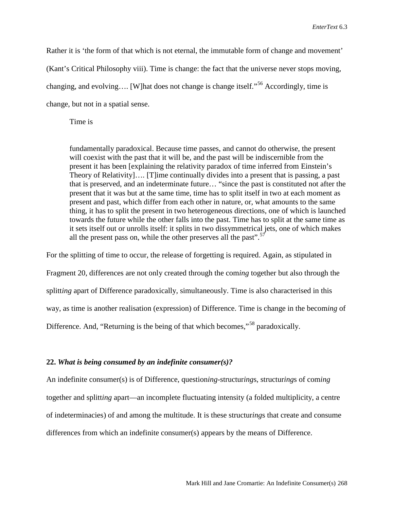Rather it is 'the form of that which is not eternal, the immutable form of change and movement' (Kant's Critical Philosophy viii). Time is change: the fact that the universe never stops moving, changing, and evolving.... [W]hat does not change is change itself."<sup>[56](#page-26-55)</sup> Accordingly, time is change, but not in a spatial sense.

Time is

fundamentally paradoxical. Because time passes, and cannot do otherwise, the present will coexist with the past that it will be, and the past will be indiscernible from the present it has been [explaining the relativity paradox of time inferred from Einstein's Theory of Relativity]…. [T]ime continually divides into a present that is passing, a past that is preserved, and an indeterminate future… "since the past is constituted not after the present that it was but at the same time, time has to split itself in two at each moment as present and past, which differ from each other in nature, or, what amounts to the same thing, it has to split the present in two heterogeneous directions, one of which is launched towards the future while the other falls into the past. Time has to split at the same time as it sets itself out or unrolls itself: it splits in two dissymmetrical jets, one of which makes all the present pass on, while the other preserves all the past".<sup>[57](#page-26-56)</sup>

For the splitting of time to occur, the release of forgetting is required. Again, as stipulated in Fragment 20, differences are not only created through the com*ing* together but also through the splitt*ing* apart of Difference paradoxically, simultaneously. Time is also characterised in this way, as time is another realisation (expression) of Difference. Time is change in the becom*ing* of Difference. And, "Returning is the being of that which becomes,"<sup>[58](#page-26-57)</sup> paradoxically.

#### **22.** *What is being consumed by an indefinite consumer(s)?*

An indefinite consumer(s) is of Difference, question*ing*-structur*ing*s, structur*ing*s of com*ing* together and splitt*ing* apart—an incomplete fluctuating intensity (a folded multiplicity, a centre of indeterminacies) of and among the multitude. It is these structur*ing*s that create and consume differences from which an indefinite consumer(s) appears by the means of Difference.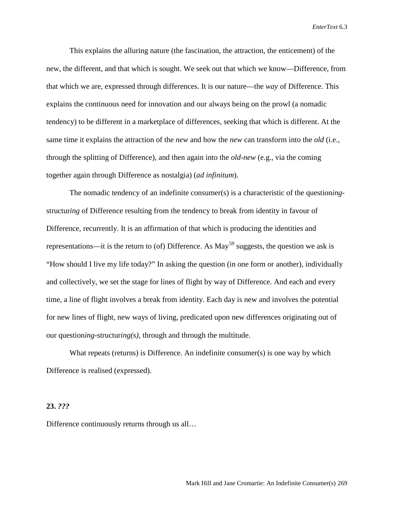This explains the alluring nature (the fascination, the attraction, the enticement) of the new, the different, and that which is sought. We seek out that which we know—Difference, from that which we are, expressed through differences. It is our nature—the *way* of Difference. This explains the continuous need for innovation and our always being on the prowl (a nomadic tendency) to be different in a marketplace of differences, seeking that which is different. At the same time it explains the attraction of the *new* and how the *new* can transform into the *old* (i.e., through the splitting of Difference), and then again into the *old-new* (e.g., via the coming together again through Difference as nostalgia) (*ad infinitum*).

The nomadic tendency of an indefinite consumer(s) is a characteristic of the question*ing*structur*ing* of Difference resulting from the tendency to break from identity in favour of Difference, recurrently. It is an affirmation of that which is producing the identities and representations—it is the return to (of) Difference. As  $May^{59}$  $May^{59}$  $May^{59}$  suggests, the question we ask is "How should I live my life today?" In asking the question (in one form or another), individually and collectively, we set the stage for lines of flight by way of Difference. And each and every time, a line of flight involves a break from identity. Each day is new and involves the potential for new lines of flight, new ways of living, predicated upon new differences originating out of our question*ing*-structur*ing(s)*, through and through the multitude.

What repeats (returns) is Difference. An indefinite consumer(s) is one way by which Difference is realised (expressed).

#### **23.** *???*

Difference continuously returns through us all…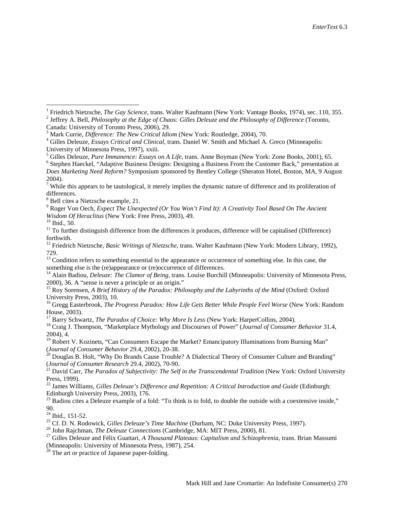$3$  Mark Currie, *Difference: The New Critical Idiom* (New York: Routledge, 2004), 70.<br> $4$  Gilles Deleuze, *Essays Critical and Clinical*, trans. Daniel W. Smith and Michael A. Greco (Minneapolis: University of Minnesota Press, 1997), xxiii.<br><sup>5</sup> Gilles Deleuze, *Pure Immanence: Essays on A Life*, trans. Anne Boyman (New York: Zone Books, 2001), 65.

<sup>6</sup> Stephen Haeckel, "Adaptive Business Designs: Designing a Business From the Customer Back," presentation at *Does Marketing Need Reform?* Symposium sponsored by Bentley College (Sheraton Hotel, Boston, MA, 9 August 2004).

<sup>9</sup> Roger Von Oech, *Expect The Unexpected (Or You Won't Find It): A Creativity Tool Based On The Ancient Wisdom Of Heraclitus (New York: Free Press, 2003), 49.* 

<sup>10</sup> Ibid., 50.<br><sup>11</sup> To further distinguish difference from the differences it produces, difference will be capitalised (Difference) forthwith.

<sup>12</sup> Friedrich Nietzsche, *Basic Writings of Nietzsche*, trans. Walter Kaufmann (New York: Modern Library, 1992), 729.

<sup>14</sup> Alain Badiou, *Deleuze: The Clamor of Being*, trans. Louise Burchill (Minneapolis: University of Minnesota Press, 2000), 36. A "sense is never a principle or an origin."

<sup>15</sup> Roy Sorensen, *A Brief History of the Paradox: Philosophy and the Labyrinths of the Mind* (Oxford: Oxford University Press, 2003), 10.

<sup>16</sup> Gregg Easterbrook, *The Progress Paradox: How Life Gets Better While People Feel Worse* (New York: Random House, 2003).<br><sup>17</sup> Barry Schwartz, *The Paradox of Choice: Why More Is Less* (New York: HarperCollins, 2004).

<sup>18</sup> Craig J. Thompson, "Marketplace Mythology and Discourses of Power" (*Journal of Consumer Behavior* 31.4, 2004), 4.

<sup>19</sup> Robert V. Kozinets, "Can Consumers Escape the Market? Emancipatory Illuminations from Burning Man" (*Journal of Consumer Behavior* 29.4, 2002), 20-38.

<sup>20</sup> Douglas B. Holt, "Why Do Brands Cause Trouble? A Dialectical Theory of Consumer Culture and Branding" (*Journal of Consumer Research* 29.4, 2002), 70-90. 21 David Carr, *The Paradox of Subjectivity: The Self in the Transcendental Tradition* (New York: Oxford University

Press, 1999).

<sup>22</sup> James Williams, *Gilles Deleuze's Difference and Repetition: A Critical Introduction and Guide* (Edinburgh: Edinburgh University Press, 2003), 176.

<sup>23</sup> Badiou cites a Deleuze example of a fold: "To think is to fold, to double the outside with a coextensive inside," 90.<br> $24$  Ibid., 151-52.

<sup>25</sup> Cf. D. N. Rodowick, *Gilles Deleuze's Time Machine* (Durham, NC: Duke University Press, 1997).<br><sup>26</sup> John Rajchman, *The Deleuze Connections* (Cambridge, MA: MIT Press, 2000), 81.<br><sup>27</sup> Gilles Deleuze and Félix Guattar

(Minneapolis: University of Minnesota Press, 1987), 254.

<sup>28</sup> The art or practice of Japanese paper-folding.

<sup>&</sup>lt;sup>1</sup> Friedrich Nietzsche, *The Gay Science*, trans. Walter Kaufmann (New York: Vantage Books, 1974), sec. 110, 355.<br><sup>2</sup> Jeffrey A. Bell, *Philosophy at the Edge of Chaos: Gilles Deleuze and the Philosophy of Difference* (T

 $<sup>7</sup>$  While this appears to be tautological, it merely implies the dynamic nature of difference and its proliferation of</sup> differences.

<sup>8</sup> Bell cites a Nietzsche example, 21.

 $13$  Condition refers to something essential to the appearance or occurrence of something else. In this case, the something else is the (re)appearance or (re)occurrence of differences.